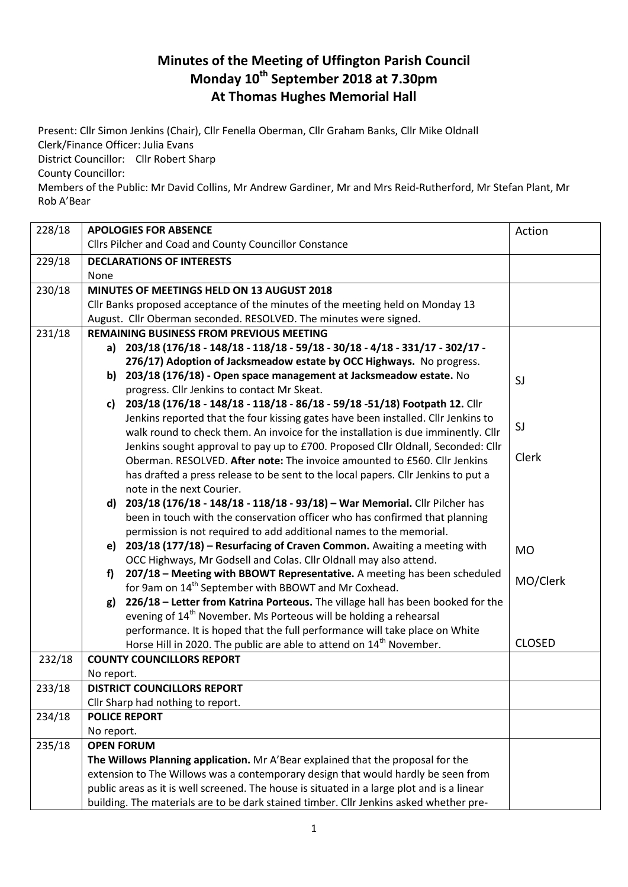## **Minutes of the Meeting of Uffington Parish Council Monday 10th September 2018 at 7.30pm At Thomas Hughes Memorial Hall**

Present: Cllr Simon Jenkins (Chair), Cllr Fenella Oberman, Cllr Graham Banks, Cllr Mike Oldnall Clerk/Finance Officer: Julia Evans

District Councillor: Cllr Robert Sharp

County Councillor:

Members of the Public: Mr David Collins, Mr Andrew Gardiner, Mr and Mrs Reid-Rutherford, Mr Stefan Plant, Mr Rob A'Bear

| 228/18 | <b>APOLOGIES FOR ABSENCE</b><br>Action                                                                                                                               |                                                                                                                                                                        |               |  |  |
|--------|----------------------------------------------------------------------------------------------------------------------------------------------------------------------|------------------------------------------------------------------------------------------------------------------------------------------------------------------------|---------------|--|--|
|        | Cllrs Pilcher and Coad and County Councillor Constance                                                                                                               |                                                                                                                                                                        |               |  |  |
| 229/18 | <b>DECLARATIONS OF INTERESTS</b>                                                                                                                                     |                                                                                                                                                                        |               |  |  |
|        | None                                                                                                                                                                 |                                                                                                                                                                        |               |  |  |
| 230/18 | MINUTES OF MEETINGS HELD ON 13 AUGUST 2018                                                                                                                           |                                                                                                                                                                        |               |  |  |
|        | Cllr Banks proposed acceptance of the minutes of the meeting held on Monday 13                                                                                       |                                                                                                                                                                        |               |  |  |
|        | August. Cllr Oberman seconded. RESOLVED. The minutes were signed.                                                                                                    |                                                                                                                                                                        |               |  |  |
| 231/18 | <b>REMAINING BUSINESS FROM PREVIOUS MEETING</b>                                                                                                                      |                                                                                                                                                                        |               |  |  |
|        | a) 203/18 (176/18 - 148/18 - 118/18 - 59/18 - 30/18 - 4/18 - 331/17 - 302/17 -                                                                                       |                                                                                                                                                                        |               |  |  |
|        |                                                                                                                                                                      | 276/17) Adoption of Jacksmeadow estate by OCC Highways. No progress.                                                                                                   |               |  |  |
|        |                                                                                                                                                                      | b) 203/18 (176/18) - Open space management at Jacksmeadow estate. No                                                                                                   | SJ            |  |  |
|        |                                                                                                                                                                      | progress. Cllr Jenkins to contact Mr Skeat.                                                                                                                            |               |  |  |
|        |                                                                                                                                                                      | c) 203/18 (176/18 - 148/18 - 118/18 - 86/18 - 59/18 - 51/18) Footpath 12. Cllr                                                                                         |               |  |  |
|        |                                                                                                                                                                      | Jenkins reported that the four kissing gates have been installed. Cllr Jenkins to<br>walk round to check them. An invoice for the installation is due imminently. Cllr | SJ            |  |  |
|        |                                                                                                                                                                      | Jenkins sought approval to pay up to £700. Proposed Cllr Oldnall, Seconded: Cllr                                                                                       |               |  |  |
|        |                                                                                                                                                                      | Oberman, RESOLVED. After note: The invoice amounted to £560. Cllr Jenkins                                                                                              | Clerk         |  |  |
|        |                                                                                                                                                                      | has drafted a press release to be sent to the local papers. Cllr Jenkins to put a                                                                                      |               |  |  |
|        |                                                                                                                                                                      | note in the next Courier.                                                                                                                                              |               |  |  |
|        |                                                                                                                                                                      | d) 203/18 (176/18 - 148/18 - 118/18 - 93/18) - War Memorial. Cllr Pilcher has                                                                                          |               |  |  |
|        |                                                                                                                                                                      | been in touch with the conservation officer who has confirmed that planning                                                                                            |               |  |  |
|        |                                                                                                                                                                      | permission is not required to add additional names to the memorial.                                                                                                    |               |  |  |
|        | e)                                                                                                                                                                   | 203/18 (177/18) - Resurfacing of Craven Common. Awaiting a meeting with                                                                                                | <b>MO</b>     |  |  |
|        |                                                                                                                                                                      | OCC Highways, Mr Godsell and Colas. Cllr Oldnall may also attend.                                                                                                      |               |  |  |
|        | f                                                                                                                                                                    | 207/18 - Meeting with BBOWT Representative. A meeting has been scheduled                                                                                               | MO/Clerk      |  |  |
|        |                                                                                                                                                                      | for 9am on 14 <sup>th</sup> September with BBOWT and Mr Coxhead.                                                                                                       |               |  |  |
|        | g)                                                                                                                                                                   | 226/18 - Letter from Katrina Porteous. The village hall has been booked for the                                                                                        |               |  |  |
|        |                                                                                                                                                                      | evening of 14 <sup>th</sup> November. Ms Porteous will be holding a rehearsal                                                                                          |               |  |  |
|        |                                                                                                                                                                      | performance. It is hoped that the full performance will take place on White                                                                                            |               |  |  |
|        |                                                                                                                                                                      | Horse Hill in 2020. The public are able to attend on 14 <sup>th</sup> November.                                                                                        | <b>CLOSED</b> |  |  |
| 232/18 |                                                                                                                                                                      | <b>COUNTY COUNCILLORS REPORT</b>                                                                                                                                       |               |  |  |
|        |                                                                                                                                                                      | No report.                                                                                                                                                             |               |  |  |
| 233/18 | <b>DISTRICT COUNCILLORS REPORT</b>                                                                                                                                   |                                                                                                                                                                        |               |  |  |
|        |                                                                                                                                                                      | Cllr Sharp had nothing to report.                                                                                                                                      |               |  |  |
| 234/18 | <b>POLICE REPORT</b>                                                                                                                                                 |                                                                                                                                                                        |               |  |  |
|        |                                                                                                                                                                      | No report.                                                                                                                                                             |               |  |  |
| 235/18 | <b>OPEN FORUM</b>                                                                                                                                                    |                                                                                                                                                                        |               |  |  |
|        | The Willows Planning application. Mr A'Bear explained that the proposal for the<br>extension to The Willows was a contemporary design that would hardly be seen from |                                                                                                                                                                        |               |  |  |
|        |                                                                                                                                                                      |                                                                                                                                                                        |               |  |  |
|        | public areas as it is well screened. The house is situated in a large plot and is a linear                                                                           |                                                                                                                                                                        |               |  |  |
|        | building. The materials are to be dark stained timber. Cllr Jenkins asked whether pre-                                                                               |                                                                                                                                                                        |               |  |  |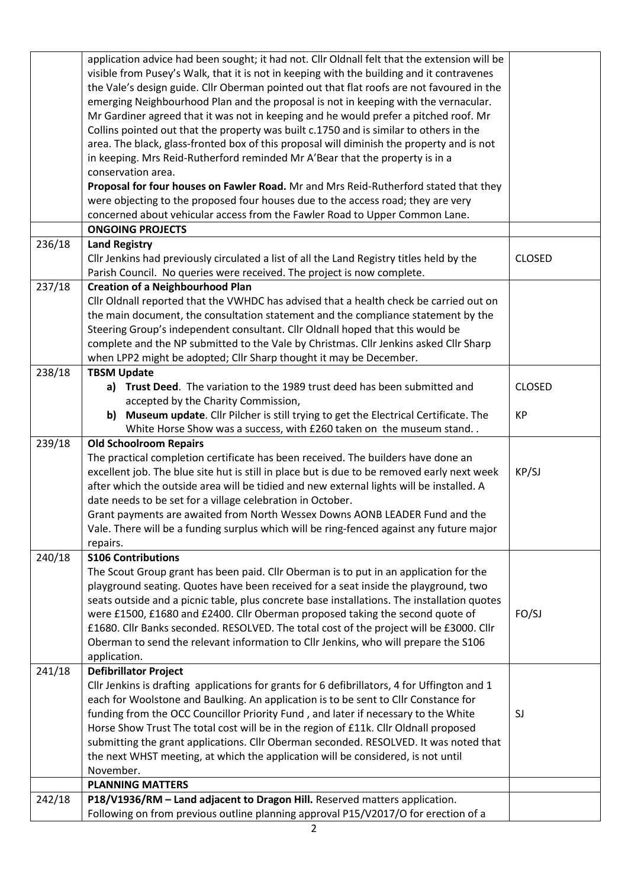|        | application advice had been sought; it had not. Cllr Oldnall felt that the extension will be<br>visible from Pusey's Walk, that it is not in keeping with the building and it contravenes |               |
|--------|-------------------------------------------------------------------------------------------------------------------------------------------------------------------------------------------|---------------|
|        | the Vale's design guide. Cllr Oberman pointed out that flat roofs are not favoured in the                                                                                                 |               |
|        | emerging Neighbourhood Plan and the proposal is not in keeping with the vernacular.                                                                                                       |               |
|        | Mr Gardiner agreed that it was not in keeping and he would prefer a pitched roof. Mr                                                                                                      |               |
|        | Collins pointed out that the property was built c.1750 and is similar to others in the                                                                                                    |               |
|        | area. The black, glass-fronted box of this proposal will diminish the property and is not                                                                                                 |               |
|        | in keeping. Mrs Reid-Rutherford reminded Mr A'Bear that the property is in a                                                                                                              |               |
|        | conservation area.                                                                                                                                                                        |               |
|        | Proposal for four houses on Fawler Road. Mr and Mrs Reid-Rutherford stated that they                                                                                                      |               |
|        | were objecting to the proposed four houses due to the access road; they are very                                                                                                          |               |
|        | concerned about vehicular access from the Fawler Road to Upper Common Lane.                                                                                                               |               |
|        | <b>ONGOING PROJECTS</b>                                                                                                                                                                   |               |
| 236/18 |                                                                                                                                                                                           |               |
|        | <b>Land Registry</b>                                                                                                                                                                      |               |
|        | Cllr Jenkins had previously circulated a list of all the Land Registry titles held by the                                                                                                 | <b>CLOSED</b> |
|        | Parish Council. No queries were received. The project is now complete.                                                                                                                    |               |
| 237/18 | <b>Creation of a Neighbourhood Plan</b>                                                                                                                                                   |               |
|        | Cllr Oldnall reported that the VWHDC has advised that a health check be carried out on                                                                                                    |               |
|        | the main document, the consultation statement and the compliance statement by the                                                                                                         |               |
|        | Steering Group's independent consultant. Cllr Oldnall hoped that this would be                                                                                                            |               |
|        | complete and the NP submitted to the Vale by Christmas. Cllr Jenkins asked Cllr Sharp                                                                                                     |               |
|        | when LPP2 might be adopted; Cllr Sharp thought it may be December.                                                                                                                        |               |
| 238/18 | <b>TBSM Update</b>                                                                                                                                                                        |               |
|        | a) Trust Deed. The variation to the 1989 trust deed has been submitted and                                                                                                                | <b>CLOSED</b> |
|        | accepted by the Charity Commission,                                                                                                                                                       |               |
|        | Museum update. Cllr Pilcher is still trying to get the Electrical Certificate. The<br>b)                                                                                                  | <b>KP</b>     |
|        | White Horse Show was a success, with £260 taken on the museum stand                                                                                                                       |               |
| 239/18 | <b>Old Schoolroom Repairs</b>                                                                                                                                                             |               |
|        | The practical completion certificate has been received. The builders have done an                                                                                                         |               |
|        | excellent job. The blue site hut is still in place but is due to be removed early next week                                                                                               | KP/SJ         |
|        | after which the outside area will be tidied and new external lights will be installed. A                                                                                                  |               |
|        | date needs to be set for a village celebration in October.                                                                                                                                |               |
|        | Grant payments are awaited from North Wessex Downs AONB LEADER Fund and the                                                                                                               |               |
|        | Vale. There will be a funding surplus which will be ring-fenced against any future major                                                                                                  |               |
|        | repairs.                                                                                                                                                                                  |               |
| 240/18 | <b>S106 Contributions</b>                                                                                                                                                                 |               |
|        | The Scout Group grant has been paid. Cllr Oberman is to put in an application for the                                                                                                     |               |
|        | playground seating. Quotes have been received for a seat inside the playground, two                                                                                                       |               |
|        | seats outside and a picnic table, plus concrete base installations. The installation quotes                                                                                               |               |
|        | were £1500, £1680 and £2400. Cllr Oberman proposed taking the second quote of                                                                                                             | FO/SJ         |
|        | £1680. Cllr Banks seconded. RESOLVED. The total cost of the project will be £3000. Cllr                                                                                                   |               |
|        | Oberman to send the relevant information to Cllr Jenkins, who will prepare the S106                                                                                                       |               |
|        | application.                                                                                                                                                                              |               |
| 241/18 | <b>Defibrillator Project</b>                                                                                                                                                              |               |
|        | Cllr Jenkins is drafting applications for grants for 6 defibrillators, 4 for Uffington and 1                                                                                              |               |
|        | each for Woolstone and Baulking. An application is to be sent to Cllr Constance for                                                                                                       |               |
|        | funding from the OCC Councillor Priority Fund, and later if necessary to the White                                                                                                        | SJ            |
|        | Horse Show Trust The total cost will be in the region of £11k. Cllr Oldnall proposed                                                                                                      |               |
|        | submitting the grant applications. Cllr Oberman seconded. RESOLVED. It was noted that                                                                                                     |               |
|        | the next WHST meeting, at which the application will be considered, is not until                                                                                                          |               |
|        | November.                                                                                                                                                                                 |               |
|        | <b>PLANNING MATTERS</b>                                                                                                                                                                   |               |
| 242/18 | P18/V1936/RM - Land adjacent to Dragon Hill. Reserved matters application.                                                                                                                |               |
|        | Following on from previous outline planning approval P15/V2017/O for erection of a                                                                                                        |               |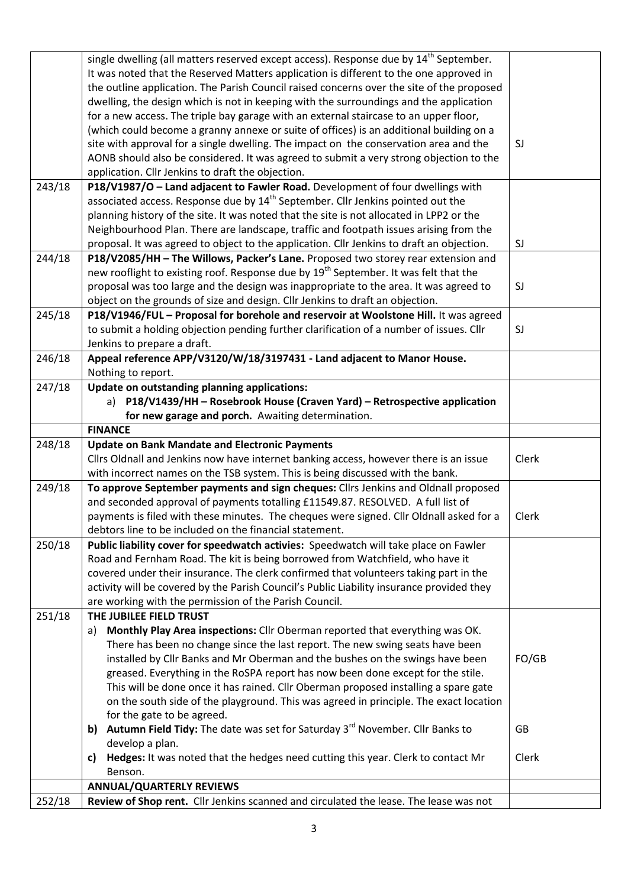|        | single dwelling (all matters reserved except access). Response due by 14 <sup>th</sup> September. |       |
|--------|---------------------------------------------------------------------------------------------------|-------|
|        | It was noted that the Reserved Matters application is different to the one approved in            |       |
|        | the outline application. The Parish Council raised concerns over the site of the proposed         |       |
|        | dwelling, the design which is not in keeping with the surroundings and the application            |       |
|        | for a new access. The triple bay garage with an external staircase to an upper floor,             |       |
|        | (which could become a granny annexe or suite of offices) is an additional building on a           |       |
|        | site with approval for a single dwelling. The impact on the conservation area and the             | SJ    |
|        | AONB should also be considered. It was agreed to submit a very strong objection to the            |       |
|        | application. Cllr Jenkins to draft the objection.                                                 |       |
| 243/18 | P18/V1987/O - Land adjacent to Fawler Road. Development of four dwellings with                    |       |
|        | associated access. Response due by 14 <sup>th</sup> September. Cllr Jenkins pointed out the       |       |
|        | planning history of the site. It was noted that the site is not allocated in LPP2 or the          |       |
|        | Neighbourhood Plan. There are landscape, traffic and footpath issues arising from the             |       |
|        | proposal. It was agreed to object to the application. Cllr Jenkins to draft an objection.         | SJ    |
| 244/18 | P18/V2085/HH - The Willows, Packer's Lane. Proposed two storey rear extension and                 |       |
|        | new rooflight to existing roof. Response due by 19 <sup>th</sup> September. It was felt that the  |       |
|        | proposal was too large and the design was inappropriate to the area. It was agreed to             | SJ    |
|        | object on the grounds of size and design. Cllr Jenkins to draft an objection.                     |       |
| 245/18 | P18/V1946/FUL - Proposal for borehole and reservoir at Woolstone Hill. It was agreed              |       |
|        | to submit a holding objection pending further clarification of a number of issues. Cllr           | SJ    |
|        | Jenkins to prepare a draft.                                                                       |       |
| 246/18 | Appeal reference APP/V3120/W/18/3197431 - Land adjacent to Manor House.                           |       |
|        | Nothing to report.                                                                                |       |
| 247/18 | Update on outstanding planning applications:                                                      |       |
|        | a) P18/V1439/HH - Rosebrook House (Craven Yard) - Retrospective application                       |       |
|        | for new garage and porch. Awaiting determination.                                                 |       |
|        | <b>FINANCE</b>                                                                                    |       |
| 248/18 | <b>Update on Bank Mandate and Electronic Payments</b>                                             |       |
|        | Cllrs Oldnall and Jenkins now have internet banking access, however there is an issue             | Clerk |
|        | with incorrect names on the TSB system. This is being discussed with the bank.                    |       |
| 249/18 | To approve September payments and sign cheques: Cllrs Jenkins and Oldnall proposed                |       |
|        | and seconded approval of payments totalling £11549.87. RESOLVED. A full list of                   |       |
|        | payments is filed with these minutes. The cheques were signed. Cllr Oldnall asked for a           | Clerk |
|        | debtors line to be included on the financial statement.                                           |       |
| 250/18 | Public liability cover for speedwatch activies: Speedwatch will take place on Fawler              |       |
|        | Road and Fernham Road. The kit is being borrowed from Watchfield, who have it                     |       |
|        | covered under their insurance. The clerk confirmed that volunteers taking part in the             |       |
|        | activity will be covered by the Parish Council's Public Liability insurance provided they         |       |
|        | are working with the permission of the Parish Council.                                            |       |
| 251/18 | THE JUBILEE FIELD TRUST                                                                           |       |
|        | Monthly Play Area inspections: Cllr Oberman reported that everything was OK.<br>a)                |       |
|        | There has been no change since the last report. The new swing seats have been                     |       |
|        | installed by Cllr Banks and Mr Oberman and the bushes on the swings have been                     | FO/GB |
|        | greased. Everything in the RoSPA report has now been done except for the stile.                   |       |
|        | This will be done once it has rained. Cllr Oberman proposed installing a spare gate               |       |
|        | on the south side of the playground. This was agreed in principle. The exact location             |       |
|        | for the gate to be agreed.                                                                        |       |
|        | b) Autumn Field Tidy: The date was set for Saturday 3 <sup>rd</sup> November. Cllr Banks to       | GB    |
|        | develop a plan.                                                                                   |       |
|        | Hedges: It was noted that the hedges need cutting this year. Clerk to contact Mr<br>c)            | Clerk |
|        | Benson.                                                                                           |       |
|        | <b>ANNUAL/QUARTERLY REVIEWS</b>                                                                   |       |
| 252/18 | Review of Shop rent. Cllr Jenkins scanned and circulated the lease. The lease was not             |       |